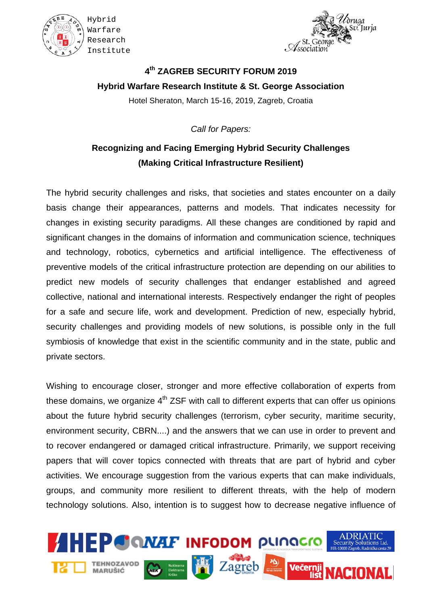





## **4th ZAGREB SECURITY FORUM 2019 Hybrid Warfare Research Institute & St. George Association** Hotel Sheraton, March 15-16, 2019, Zagreb, Croatia

*Call for Papers:*

## **Recognizing and Facing Emerging Hybrid Security Challenges (Making Critical Infrastructure Resilient)**

The hybrid security challenges and risks, that societies and states encounter on a daily basis change their appearances, patterns and models. That indicates necessity for changes in existing security paradigms. All these changes are conditioned by rapid and significant changes in the domains of information and communication science, techniques and technology, robotics, cybernetics and artificial intelligence. The effectiveness of preventive models of the critical infrastructure protection are depending on our abilities to predict new models of security challenges that endanger established and agreed collective, national and international interests. Respectively endanger the right of peoples for a safe and secure life, work and development. Prediction of new, especially hybrid, security challenges and providing models of new solutions, is possible only in the full symbiosis of knowledge that exist in the scientific community and in the state, public and private sectors.

Wishing to encourage closer, stronger and more effective collaboration of experts from these domains, we organize  $4<sup>th</sup> ZSF$  with call to different experts that can offer us opinions about the future hybrid security challenges (terrorism, cyber security, maritime security, environment security, CBRN....) and the answers that we can use in order to prevent and to recover endangered or damaged critical infrastructure. Primarily, we support receiving papers that will cover topics connected with threats that are part of hybrid and cyber activities. We encourage suggestion from the various experts that can make individuals, groups, and community more resilient to different threats, with the help of modern technology solutions. Also, intention is to suggest how to decrease negative influence of